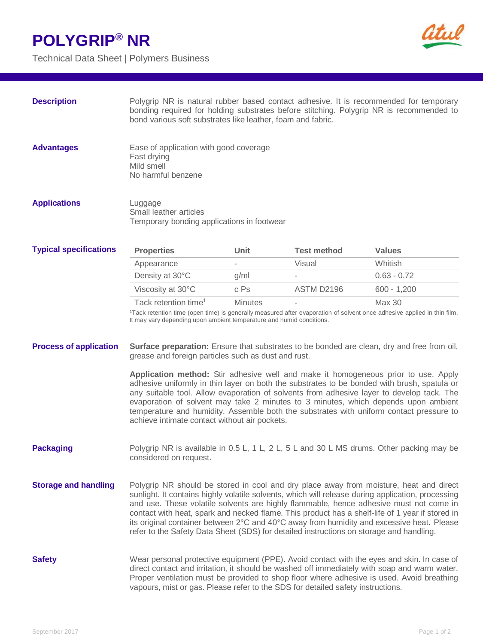## **POLYGRIP® NR**

Technical Data Sheet | Polymers Business



| <b>Description</b>            | Polygrip NR is natural rubber based contact adhesive. It is recommended for temporary<br>bonding required for holding substrates before stitching. Polygrip NR is recommended to<br>bond various soft substrates like leather, foam and fabric.                                                                                                                                                                                                                                                                                                                                                                                                                                                                                               |                |                    |               |
|-------------------------------|-----------------------------------------------------------------------------------------------------------------------------------------------------------------------------------------------------------------------------------------------------------------------------------------------------------------------------------------------------------------------------------------------------------------------------------------------------------------------------------------------------------------------------------------------------------------------------------------------------------------------------------------------------------------------------------------------------------------------------------------------|----------------|--------------------|---------------|
| <b>Advantages</b>             | Ease of application with good coverage<br>Fast drying<br>Mild smell<br>No harmful benzene                                                                                                                                                                                                                                                                                                                                                                                                                                                                                                                                                                                                                                                     |                |                    |               |
| <b>Applications</b>           | Luggage<br>Small leather articles<br>Temporary bonding applications in footwear                                                                                                                                                                                                                                                                                                                                                                                                                                                                                                                                                                                                                                                               |                |                    |               |
| <b>Typical specifications</b> | <b>Properties</b>                                                                                                                                                                                                                                                                                                                                                                                                                                                                                                                                                                                                                                                                                                                             | Unit           | <b>Test method</b> | <b>Values</b> |
|                               | Appearance                                                                                                                                                                                                                                                                                                                                                                                                                                                                                                                                                                                                                                                                                                                                    |                | Visual             | Whitish       |
|                               | Density at 30°C                                                                                                                                                                                                                                                                                                                                                                                                                                                                                                                                                                                                                                                                                                                               | g/ml           |                    | $0.63 - 0.72$ |
|                               | Viscosity at 30°C                                                                                                                                                                                                                                                                                                                                                                                                                                                                                                                                                                                                                                                                                                                             | c Ps           | ASTM D2196         | $600 - 1,200$ |
|                               | Tack retention time <sup>1</sup>                                                                                                                                                                                                                                                                                                                                                                                                                                                                                                                                                                                                                                                                                                              | <b>Minutes</b> |                    | Max 30        |
| <b>Process of application</b> | It may vary depending upon ambient temperature and humid conditions.<br>Surface preparation: Ensure that substrates to be bonded are clean, dry and free from oil,<br>grease and foreign particles such as dust and rust.<br>Application method: Stir adhesive well and make it homogeneous prior to use. Apply<br>adhesive uniformly in thin layer on both the substrates to be bonded with brush, spatula or<br>any suitable tool. Allow evaporation of solvents from adhesive layer to develop tack. The<br>evaporation of solvent may take 2 minutes to 3 minutes, which depends upon ambient<br>temperature and humidity. Assemble both the substrates with uniform contact pressure to<br>achieve intimate contact without air pockets. |                |                    |               |
| <b>Packaging</b>              | Polygrip NR is available in 0.5 L, 1 L, 2 L, 5 L and 30 L MS drums. Other packing may be<br>considered on request.                                                                                                                                                                                                                                                                                                                                                                                                                                                                                                                                                                                                                            |                |                    |               |
| <b>Storage and handling</b>   | Polygrip NR should be stored in cool and dry place away from moisture, heat and direct<br>sunlight. It contains highly volatile solvents, which will release during application, processing<br>and use. These volatile solvents are highly flammable, hence adhesive must not come in<br>contact with heat, spark and necked flame. This product has a shelf-life of 1 year if stored in<br>its original container between 2°C and 40°C away from humidity and excessive heat. Please<br>refer to the Safety Data Sheet (SDS) for detailed instructions on storage and handling.                                                                                                                                                              |                |                    |               |
| <b>Safety</b>                 | Wear personal protective equipment (PPE). Avoid contact with the eyes and skin. In case of<br>direct contact and irritation, it should be washed off immediately with soap and warm water.<br>Proper ventilation must be provided to shop floor where adhesive is used. Avoid breathing<br>vapours, mist or gas. Please refer to the SDS for detailed safety instructions.                                                                                                                                                                                                                                                                                                                                                                    |                |                    |               |